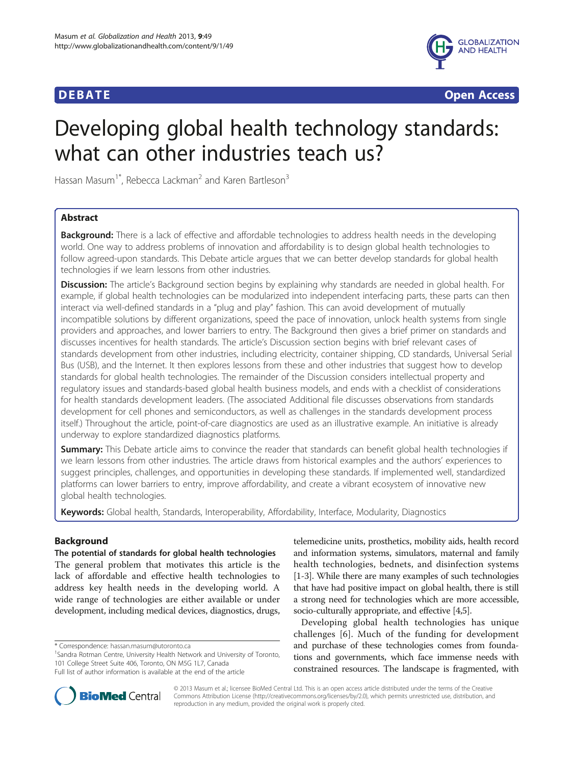

**DEBATE CONSIDERED ACCESS Open Access** 

# Developing global health technology standards: what can other industries teach us?

Hassan Masum<sup>1\*</sup>, Rebecca Lackman<sup>2</sup> and Karen Bartleson<sup>3</sup>

# Abstract

**Background:** There is a lack of effective and affordable technologies to address health needs in the developing world. One way to address problems of innovation and affordability is to design global health technologies to follow agreed-upon standards. This Debate article argues that we can better develop standards for global health technologies if we learn lessons from other industries.

**Discussion:** The article's Background section begins by explaining why standards are needed in global health. For example, if global health technologies can be modularized into independent interfacing parts, these parts can then interact via well-defined standards in a "plug and play" fashion. This can avoid development of mutually incompatible solutions by different organizations, speed the pace of innovation, unlock health systems from single providers and approaches, and lower barriers to entry. The Background then gives a brief primer on standards and discusses incentives for health standards. The article's Discussion section begins with brief relevant cases of standards development from other industries, including electricity, container shipping, CD standards, Universal Serial Bus (USB), and the Internet. It then explores lessons from these and other industries that suggest how to develop standards for global health technologies. The remainder of the Discussion considers intellectual property and regulatory issues and standards-based global health business models, and ends with a checklist of considerations for health standards development leaders. (The associated Additional file discusses observations from standards development for cell phones and semiconductors, as well as challenges in the standards development process itself.) Throughout the article, point-of-care diagnostics are used as an illustrative example. An initiative is already underway to explore standardized diagnostics platforms.

Summary: This Debate article aims to convince the reader that standards can benefit global health technologies if we learn lessons from other industries. The article draws from historical examples and the authors' experiences to suggest principles, challenges, and opportunities in developing these standards. If implemented well, standardized platforms can lower barriers to entry, improve affordability, and create a vibrant ecosystem of innovative new global health technologies.

Keywords: Global health, Standards, Interoperability, Affordability, Interface, Modularity, Diagnostics

# Background

#### The potential of standards for global health technologies

The general problem that motivates this article is the lack of affordable and effective health technologies to address key health needs in the developing world. A wide range of technologies are either available or under development, including medical devices, diagnostics, drugs,

<sup>1</sup>Sandra Rotman Centre, University Health Network and University of Toronto, 101 College Street Suite 406, Toronto, ON M5G 1L7, Canada Full list of author information is available at the end of the article

Developing global health technologies has unique challenges [[6](#page-10-0)]. Much of the funding for development and purchase of these technologies comes from foundations and governments, which face immense needs with constrained resources. The landscape is fragmented, with



© 2013 Masum et al.; licensee BioMed Central Ltd. This is an open access article distributed under the terms of the Creative Commons Attribution License [\(http://creativecommons.org/licenses/by/2.0\)](http://creativecommons.org/licenses/by/2.0), which permits unrestricted use, distribution, and reproduction in any medium, provided the original work is properly cited.

<sup>\*</sup> Correspondence: [hassan.masum@utoronto.ca](mailto:hassan.masum@utoronto.ca) <sup>1</sup>

telemedicine units, prosthetics, mobility aids, health record and information systems, simulators, maternal and family health technologies, bednets, and disinfection systems [[1-3\]](#page-10-0). While there are many examples of such technologies that have had positive impact on global health, there is still a strong need for technologies which are more accessible, socio-culturally appropriate, and effective [\[4,5\]](#page-10-0).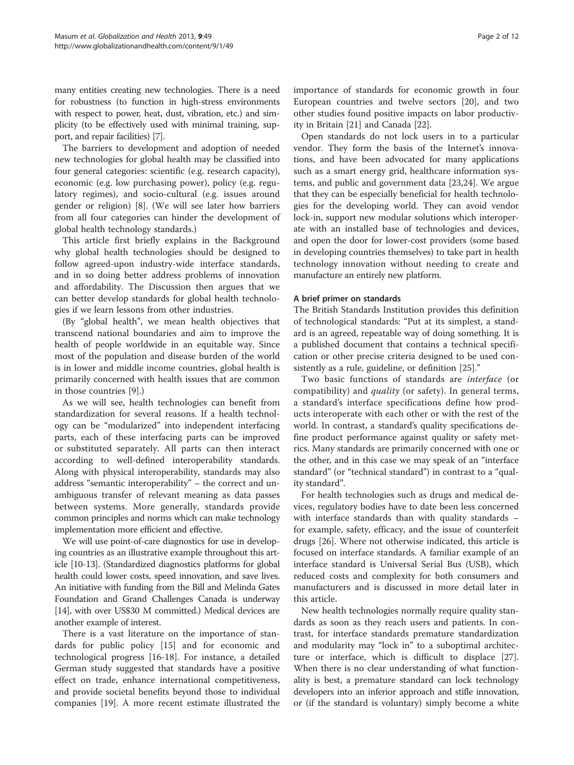many entities creating new technologies. There is a need for robustness (to function in high-stress environments with respect to power, heat, dust, vibration, etc.) and simplicity (to be effectively used with minimal training, support, and repair facilities) [\[7](#page-10-0)].

The barriers to development and adoption of needed new technologies for global health may be classified into four general categories: scientific (e.g. research capacity), economic (e.g. low purchasing power), policy (e.g. regulatory regimes), and socio-cultural (e.g. issues around gender or religion) [\[8](#page-10-0)]. (We will see later how barriers from all four categories can hinder the development of global health technology standards.)

This article first briefly explains in the Background why global health technologies should be designed to follow agreed-upon industry-wide interface standards, and in so doing better address problems of innovation and affordability. The Discussion then argues that we can better develop standards for global health technologies if we learn lessons from other industries.

(By "global health", we mean health objectives that transcend national boundaries and aim to improve the health of people worldwide in an equitable way. Since most of the population and disease burden of the world is in lower and middle income countries, global health is primarily concerned with health issues that are common in those countries [\[9](#page-10-0)].)

As we will see, health technologies can benefit from standardization for several reasons. If a health technology can be "modularized" into independent interfacing parts, each of these interfacing parts can be improved or substituted separately. All parts can then interact according to well-defined interoperability standards. Along with physical interoperability, standards may also address "semantic interoperability" – the correct and unambiguous transfer of relevant meaning as data passes between systems. More generally, standards provide common principles and norms which can make technology implementation more efficient and effective.

We will use point-of-care diagnostics for use in developing countries as an illustrative example throughout this article [\[10-13\]](#page-10-0). (Standardized diagnostics platforms for global health could lower costs, speed innovation, and save lives. An initiative with funding from the Bill and Melinda Gates Foundation and Grand Challenges Canada is underway [[14](#page-10-0)], with over US\$30 M committed.) Medical devices are another example of interest.

There is a vast literature on the importance of standards for public policy [[15](#page-10-0)] and for economic and technological progress [[16-18\]](#page-10-0). For instance, a detailed German study suggested that standards have a positive effect on trade, enhance international competitiveness, and provide societal benefits beyond those to individual companies [[19](#page-10-0)]. A more recent estimate illustrated the importance of standards for economic growth in four European countries and twelve sectors [\[20\]](#page-10-0), and two other studies found positive impacts on labor productivity in Britain [\[21](#page-10-0)] and Canada [[22\]](#page-11-0).

Open standards do not lock users in to a particular vendor. They form the basis of the Internet's innovations, and have been advocated for many applications such as a smart energy grid, healthcare information systems, and public and government data [[23,24\]](#page-11-0). We argue that they can be especially beneficial for health technologies for the developing world. They can avoid vendor lock-in, support new modular solutions which interoperate with an installed base of technologies and devices, and open the door for lower-cost providers (some based in developing countries themselves) to take part in health technology innovation without needing to create and manufacture an entirely new platform.

#### A brief primer on standards

The British Standards Institution provides this definition of technological standards: "Put at its simplest, a standard is an agreed, repeatable way of doing something. It is a published document that contains a technical specification or other precise criteria designed to be used consistently as a rule, guideline, or definition [[25\]](#page-11-0)."

Two basic functions of standards are interface (or compatibility) and *quality* (or safety). In general terms, a standard's interface specifications define how products interoperate with each other or with the rest of the world. In contrast, a standard's quality specifications define product performance against quality or safety metrics. Many standards are primarily concerned with one or the other, and in this case we may speak of an "interface standard" (or "technical standard") in contrast to a "quality standard".

For health technologies such as drugs and medical devices, regulatory bodies have to date been less concerned with interface standards than with quality standards – for example, safety, efficacy, and the issue of counterfeit drugs [[26\]](#page-11-0). Where not otherwise indicated, this article is focused on interface standards. A familiar example of an interface standard is Universal Serial Bus (USB), which reduced costs and complexity for both consumers and manufacturers and is discussed in more detail later in this article.

New health technologies normally require quality standards as soon as they reach users and patients. In contrast, for interface standards premature standardization and modularity may "lock in" to a suboptimal architecture or interface, which is difficult to displace [\[27](#page-11-0)]. When there is no clear understanding of what functionality is best, a premature standard can lock technology developers into an inferior approach and stifle innovation, or (if the standard is voluntary) simply become a white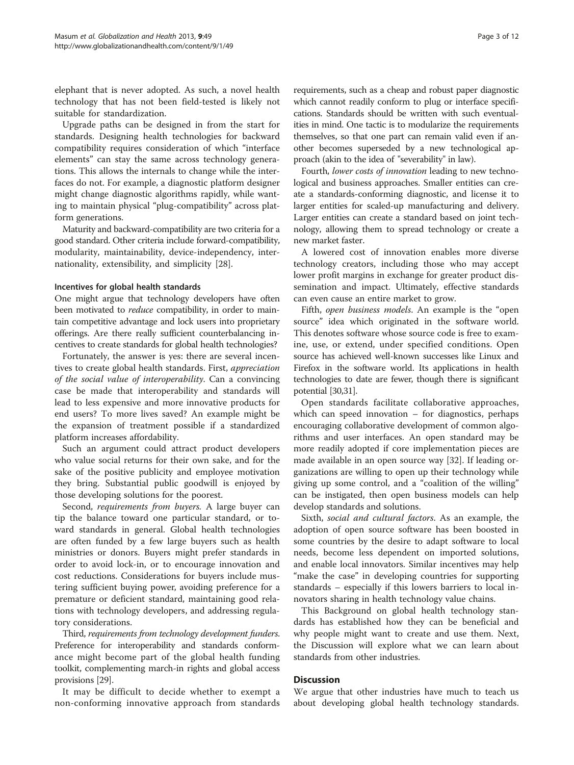elephant that is never adopted. As such, a novel health technology that has not been field-tested is likely not suitable for standardization.

Upgrade paths can be designed in from the start for standards. Designing health technologies for backward compatibility requires consideration of which "interface elements" can stay the same across technology generations. This allows the internals to change while the interfaces do not. For example, a diagnostic platform designer might change diagnostic algorithms rapidly, while wanting to maintain physical "plug-compatibility" across platform generations.

Maturity and backward-compatibility are two criteria for a good standard. Other criteria include forward-compatibility, modularity, maintainability, device-independency, internationality, extensibility, and simplicity [[28\]](#page-11-0).

#### Incentives for global health standards

One might argue that technology developers have often been motivated to *reduce* compatibility, in order to maintain competitive advantage and lock users into proprietary offerings. Are there really sufficient counterbalancing incentives to create standards for global health technologies?

Fortunately, the answer is yes: there are several incentives to create global health standards. First, appreciation of the social value of interoperability. Can a convincing case be made that interoperability and standards will lead to less expensive and more innovative products for end users? To more lives saved? An example might be the expansion of treatment possible if a standardized platform increases affordability.

Such an argument could attract product developers who value social returns for their own sake, and for the sake of the positive publicity and employee motivation they bring. Substantial public goodwill is enjoyed by those developing solutions for the poorest.

Second, *requirements from buyers*. A large buyer can tip the balance toward one particular standard, or toward standards in general. Global health technologies are often funded by a few large buyers such as health ministries or donors. Buyers might prefer standards in order to avoid lock-in, or to encourage innovation and cost reductions. Considerations for buyers include mustering sufficient buying power, avoiding preference for a premature or deficient standard, maintaining good relations with technology developers, and addressing regulatory considerations.

Third, requirements from technology development funders. Preference for interoperability and standards conformance might become part of the global health funding toolkit, complementing march-in rights and global access provisions [\[29\]](#page-11-0).

It may be difficult to decide whether to exempt a non-conforming innovative approach from standards requirements, such as a cheap and robust paper diagnostic which cannot readily conform to plug or interface specifications. Standards should be written with such eventualities in mind. One tactic is to modularize the requirements themselves, so that one part can remain valid even if another becomes superseded by a new technological approach (akin to the idea of "severability" in law).

Fourth, lower costs of innovation leading to new technological and business approaches. Smaller entities can create a standards-conforming diagnostic, and license it to larger entities for scaled-up manufacturing and delivery. Larger entities can create a standard based on joint technology, allowing them to spread technology or create a new market faster.

A lowered cost of innovation enables more diverse technology creators, including those who may accept lower profit margins in exchange for greater product dissemination and impact. Ultimately, effective standards can even cause an entire market to grow.

Fifth, open business models. An example is the "open source" idea which originated in the software world. This denotes software whose source code is free to examine, use, or extend, under specified conditions. Open source has achieved well-known successes like Linux and Firefox in the software world. Its applications in health technologies to date are fewer, though there is significant potential [\[30,31](#page-11-0)].

Open standards facilitate collaborative approaches, which can speed innovation  $-$  for diagnostics, perhaps encouraging collaborative development of common algorithms and user interfaces. An open standard may be more readily adopted if core implementation pieces are made available in an open source way [[32](#page-11-0)]. If leading organizations are willing to open up their technology while giving up some control, and a "coalition of the willing" can be instigated, then open business models can help develop standards and solutions.

Sixth, social and cultural factors. As an example, the adoption of open source software has been boosted in some countries by the desire to adapt software to local needs, become less dependent on imported solutions, and enable local innovators. Similar incentives may help "make the case" in developing countries for supporting standards – especially if this lowers barriers to local innovators sharing in health technology value chains.

This Background on global health technology standards has established how they can be beneficial and why people might want to create and use them. Next, the Discussion will explore what we can learn about standards from other industries.

### **Discussion**

We argue that other industries have much to teach us about developing global health technology standards.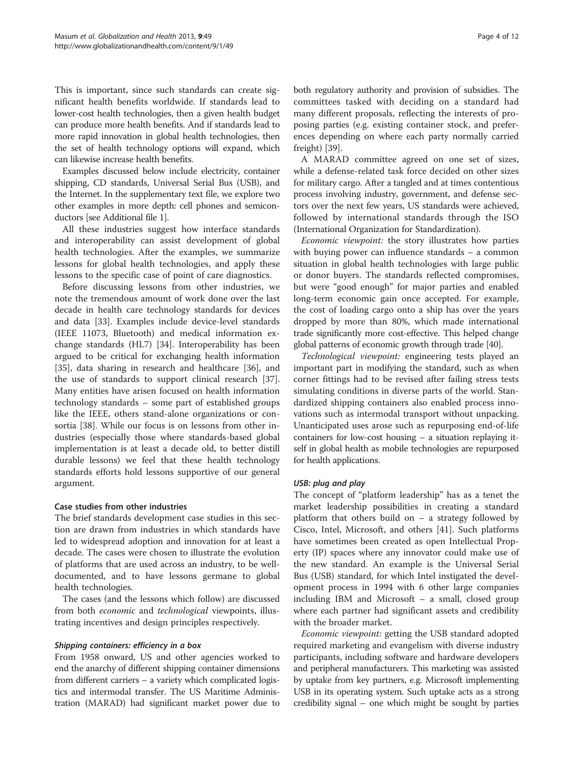This is important, since such standards can create significant health benefits worldwide. If standards lead to lower-cost health technologies, then a given health budget can produce more health benefits. And if standards lead to more rapid innovation in global health technologies, then the set of health technology options will expand, which can likewise increase health benefits.

Examples discussed below include electricity, container shipping, CD standards, Universal Serial Bus (USB), and the Internet. In the supplementary text file, we explore two other examples in more depth: cell phones and semiconductors [see Additional file [1](#page-10-0)].

All these industries suggest how interface standards and interoperability can assist development of global health technologies. After the examples, we summarize lessons for global health technologies, and apply these lessons to the specific case of point of care diagnostics.

Before discussing lessons from other industries, we note the tremendous amount of work done over the last decade in health care technology standards for devices and data [\[33](#page-11-0)]. Examples include device-level standards (IEEE 11073, Bluetooth) and medical information exchange standards (HL7) [[34](#page-11-0)]. Interoperability has been argued to be critical for exchanging health information [[35\]](#page-11-0), data sharing in research and healthcare [[36\]](#page-11-0), and the use of standards to support clinical research [\[37](#page-11-0)]. Many entities have arisen focused on health information technology standards – some part of established groups like the IEEE, others stand-alone organizations or consortia [[38\]](#page-11-0). While our focus is on lessons from other industries (especially those where standards-based global implementation is at least a decade old, to better distill durable lessons) we feel that these health technology standards efforts hold lessons supportive of our general argument.

### Case studies from other industries

The brief standards development case studies in this section are drawn from industries in which standards have led to widespread adoption and innovation for at least a decade. The cases were chosen to illustrate the evolution of platforms that are used across an industry, to be welldocumented, and to have lessons germane to global health technologies.

The cases (and the lessons which follow) are discussed from both *economic* and *technological* viewpoints, illustrating incentives and design principles respectively.

### Shipping containers: efficiency in a box

From 1958 onward, US and other agencies worked to end the anarchy of different shipping container dimensions from different carriers – a variety which complicated logistics and intermodal transfer. The US Maritime Administration (MARAD) had significant market power due to

both regulatory authority and provision of subsidies. The committees tasked with deciding on a standard had many different proposals, reflecting the interests of proposing parties (e.g. existing container stock, and preferences depending on where each party normally carried freight) [\[39](#page-11-0)].

A MARAD committee agreed on one set of sizes, while a defense-related task force decided on other sizes for military cargo. After a tangled and at times contentious process involving industry, government, and defense sectors over the next few years, US standards were achieved, followed by international standards through the ISO (International Organization for Standardization).

Economic viewpoint: the story illustrates how parties with buying power can influence standards – a common situation in global health technologies with large public or donor buyers. The standards reflected compromises, but were "good enough" for major parties and enabled long-term economic gain once accepted. For example, the cost of loading cargo onto a ship has over the years dropped by more than 80%, which made international trade significantly more cost-effective. This helped change global patterns of economic growth through trade [[40](#page-11-0)].

Technological viewpoint: engineering tests played an important part in modifying the standard, such as when corner fittings had to be revised after failing stress tests simulating conditions in diverse parts of the world. Standardized shipping containers also enabled process innovations such as intermodal transport without unpacking. Unanticipated uses arose such as repurposing end-of-life containers for low-cost housing – a situation replaying itself in global health as mobile technologies are repurposed for health applications.

### USB: plug and play

The concept of "platform leadership" has as a tenet the market leadership possibilities in creating a standard platform that others build on – a strategy followed by Cisco, Intel, Microsoft, and others [\[41](#page-11-0)]. Such platforms have sometimes been created as open Intellectual Property (IP) spaces where any innovator could make use of the new standard. An example is the Universal Serial Bus (USB) standard, for which Intel instigated the development process in 1994 with 6 other large companies including IBM and Microsoft – a small, closed group where each partner had significant assets and credibility with the broader market.

Economic viewpoint: getting the USB standard adopted required marketing and evangelism with diverse industry participants, including software and hardware developers and peripheral manufacturers. This marketing was assisted by uptake from key partners, e.g. Microsoft implementing USB in its operating system. Such uptake acts as a strong credibility signal – one which might be sought by parties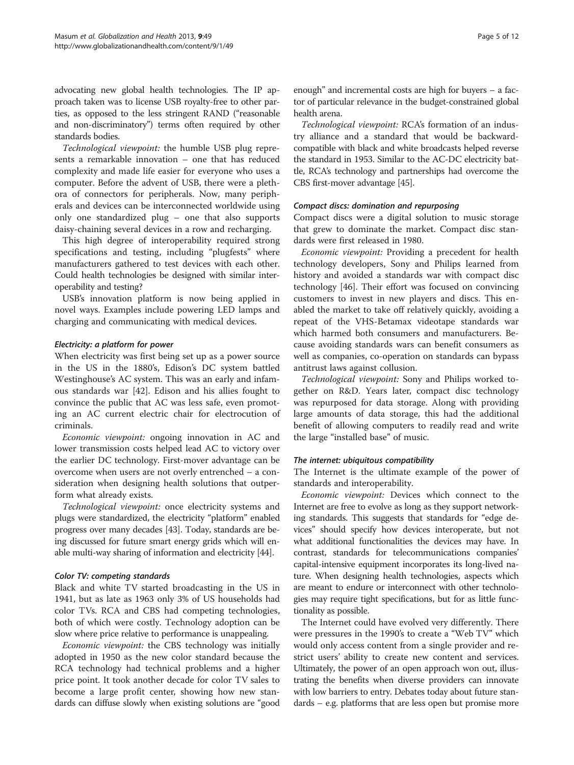advocating new global health technologies. The IP approach taken was to license USB royalty-free to other parties, as opposed to the less stringent RAND ("reasonable and non-discriminatory") terms often required by other standards bodies.

Technological viewpoint: the humble USB plug represents a remarkable innovation – one that has reduced complexity and made life easier for everyone who uses a computer. Before the advent of USB, there were a plethora of connectors for peripherals. Now, many peripherals and devices can be interconnected worldwide using only one standardized plug – one that also supports daisy-chaining several devices in a row and recharging.

This high degree of interoperability required strong specifications and testing, including "plugfests" where manufacturers gathered to test devices with each other. Could health technologies be designed with similar interoperability and testing?

USB's innovation platform is now being applied in novel ways. Examples include powering LED lamps and charging and communicating with medical devices.

#### Electricity: a platform for power

When electricity was first being set up as a power source in the US in the 1880's, Edison's DC system battled Westinghouse's AC system. This was an early and infamous standards war [[42\]](#page-11-0). Edison and his allies fought to convince the public that AC was less safe, even promoting an AC current electric chair for electrocution of criminals.

Economic viewpoint: ongoing innovation in AC and lower transmission costs helped lead AC to victory over the earlier DC technology. First-mover advantage can be overcome when users are not overly entrenched – a consideration when designing health solutions that outperform what already exists.

Technological viewpoint: once electricity systems and plugs were standardized, the electricity "platform" enabled progress over many decades [[43](#page-11-0)]. Today, standards are being discussed for future smart energy grids which will enable multi-way sharing of information and electricity [[44](#page-11-0)].

#### Color TV: competing standards

Black and white TV started broadcasting in the US in 1941, but as late as 1963 only 3% of US households had color TVs. RCA and CBS had competing technologies, both of which were costly. Technology adoption can be slow where price relative to performance is unappealing.

Economic viewpoint: the CBS technology was initially adopted in 1950 as the new color standard because the RCA technology had technical problems and a higher price point. It took another decade for color TV sales to become a large profit center, showing how new standards can diffuse slowly when existing solutions are "good

enough" and incremental costs are high for buyers – a factor of particular relevance in the budget-constrained global health arena.

Technological viewpoint: RCA's formation of an industry alliance and a standard that would be backwardcompatible with black and white broadcasts helped reverse the standard in 1953. Similar to the AC-DC electricity battle, RCA's technology and partnerships had overcome the CBS first-mover advantage [[45](#page-11-0)].

#### Compact discs: domination and repurposing

Compact discs were a digital solution to music storage that grew to dominate the market. Compact disc standards were first released in 1980.

Economic viewpoint: Providing a precedent for health technology developers, Sony and Philips learned from history and avoided a standards war with compact disc technology [\[46\]](#page-11-0). Their effort was focused on convincing customers to invest in new players and discs. This enabled the market to take off relatively quickly, avoiding a repeat of the VHS-Betamax videotape standards war which harmed both consumers and manufacturers. Because avoiding standards wars can benefit consumers as well as companies, co-operation on standards can bypass antitrust laws against collusion.

Technological viewpoint: Sony and Philips worked together on R&D. Years later, compact disc technology was repurposed for data storage. Along with providing large amounts of data storage, this had the additional benefit of allowing computers to readily read and write the large "installed base" of music.

### The internet: ubiquitous compatibility

The Internet is the ultimate example of the power of standards and interoperability.

Economic viewpoint: Devices which connect to the Internet are free to evolve as long as they support networking standards. This suggests that standards for "edge devices" should specify how devices interoperate, but not what additional functionalities the devices may have. In contrast, standards for telecommunications companies' capital-intensive equipment incorporates its long-lived nature. When designing health technologies, aspects which are meant to endure or interconnect with other technologies may require tight specifications, but for as little functionality as possible.

The Internet could have evolved very differently. There were pressures in the 1990's to create a "Web TV" which would only access content from a single provider and restrict users' ability to create new content and services. Ultimately, the power of an open approach won out, illustrating the benefits when diverse providers can innovate with low barriers to entry. Debates today about future standards – e.g. platforms that are less open but promise more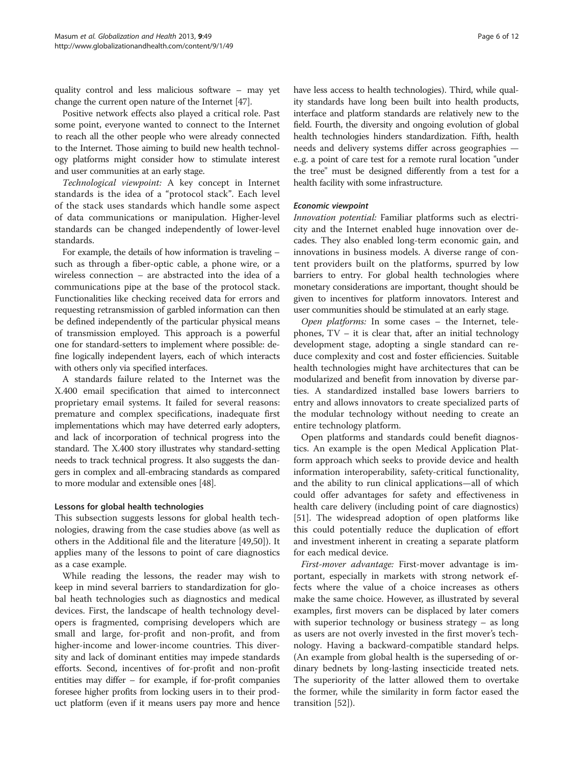quality control and less malicious software – may yet change the current open nature of the Internet [\[47\]](#page-11-0).

Positive network effects also played a critical role. Past some point, everyone wanted to connect to the Internet to reach all the other people who were already connected to the Internet. Those aiming to build new health technology platforms might consider how to stimulate interest and user communities at an early stage.

Technological viewpoint: A key concept in Internet standards is the idea of a "protocol stack". Each level of the stack uses standards which handle some aspect of data communications or manipulation. Higher-level standards can be changed independently of lower-level standards.

For example, the details of how information is traveling – such as through a fiber-optic cable, a phone wire, or a wireless connection – are abstracted into the idea of a communications pipe at the base of the protocol stack. Functionalities like checking received data for errors and requesting retransmission of garbled information can then be defined independently of the particular physical means of transmission employed. This approach is a powerful one for standard-setters to implement where possible: define logically independent layers, each of which interacts with others only via specified interfaces.

A standards failure related to the Internet was the X.400 email specification that aimed to interconnect proprietary email systems. It failed for several reasons: premature and complex specifications, inadequate first implementations which may have deterred early adopters, and lack of incorporation of technical progress into the standard. The X.400 story illustrates why standard-setting needs to track technical progress. It also suggests the dangers in complex and all-embracing standards as compared to more modular and extensible ones [[48](#page-11-0)].

#### Lessons for global health technologies

This subsection suggests lessons for global health technologies, drawing from the case studies above (as well as others in the Additional file and the literature [[49,50\]](#page-11-0)). It applies many of the lessons to point of care diagnostics as a case example.

While reading the lessons, the reader may wish to keep in mind several barriers to standardization for global heath technologies such as diagnostics and medical devices. First, the landscape of health technology developers is fragmented, comprising developers which are small and large, for-profit and non-profit, and from higher-income and lower-income countries. This diversity and lack of dominant entities may impede standards efforts. Second, incentives of for-profit and non-profit entities may differ – for example, if for-profit companies foresee higher profits from locking users in to their product platform (even if it means users pay more and hence have less access to health technologies). Third, while quality standards have long been built into health products, interface and platform standards are relatively new to the field. Fourth, the diversity and ongoing evolution of global health technologies hinders standardization. Fifth, health needs and delivery systems differ across geographies e..g. a point of care test for a remote rural location "under the tree" must be designed differently from a test for a health facility with some infrastructure.

### Economic viewpoint

Innovation potential: Familiar platforms such as electricity and the Internet enabled huge innovation over decades. They also enabled long-term economic gain, and innovations in business models. A diverse range of content providers built on the platforms, spurred by low barriers to entry. For global health technologies where monetary considerations are important, thought should be given to incentives for platform innovators. Interest and user communities should be stimulated at an early stage.

Open platforms: In some cases – the Internet, telephones,  $TV - it$  is clear that, after an initial technology development stage, adopting a single standard can reduce complexity and cost and foster efficiencies. Suitable health technologies might have architectures that can be modularized and benefit from innovation by diverse parties. A standardized installed base lowers barriers to entry and allows innovators to create specialized parts of the modular technology without needing to create an entire technology platform.

Open platforms and standards could benefit diagnostics. An example is the open Medical Application Platform approach which seeks to provide device and health information interoperability, safety-critical functionality, and the ability to run clinical applications—all of which could offer advantages for safety and effectiveness in health care delivery (including point of care diagnostics) [[51\]](#page-11-0). The widespread adoption of open platforms like this could potentially reduce the duplication of effort and investment inherent in creating a separate platform for each medical device.

First-mover advantage: First-mover advantage is important, especially in markets with strong network effects where the value of a choice increases as others make the same choice. However, as illustrated by several examples, first movers can be displaced by later comers with superior technology or business strategy – as long as users are not overly invested in the first mover's technology. Having a backward-compatible standard helps. (An example from global health is the superseding of ordinary bednets by long-lasting insecticide treated nets. The superiority of the latter allowed them to overtake the former, while the similarity in form factor eased the transition [\[52\]](#page-11-0)).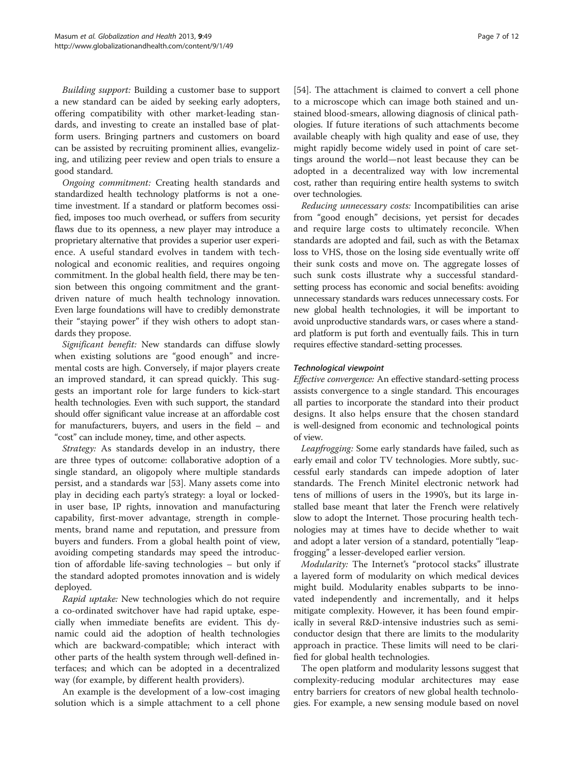Building support: Building a customer base to support a new standard can be aided by seeking early adopters, offering compatibility with other market-leading standards, and investing to create an installed base of platform users. Bringing partners and customers on board can be assisted by recruiting prominent allies, evangelizing, and utilizing peer review and open trials to ensure a good standard.

Ongoing commitment: Creating health standards and standardized health technology platforms is not a onetime investment. If a standard or platform becomes ossified, imposes too much overhead, or suffers from security flaws due to its openness, a new player may introduce a proprietary alternative that provides a superior user experience. A useful standard evolves in tandem with technological and economic realities, and requires ongoing commitment. In the global health field, there may be tension between this ongoing commitment and the grantdriven nature of much health technology innovation. Even large foundations will have to credibly demonstrate their "staying power" if they wish others to adopt standards they propose.

Significant benefit: New standards can diffuse slowly when existing solutions are "good enough" and incremental costs are high. Conversely, if major players create an improved standard, it can spread quickly. This suggests an important role for large funders to kick-start health technologies. Even with such support, the standard should offer significant value increase at an affordable cost for manufacturers, buyers, and users in the field – and "cost" can include money, time, and other aspects.

Strategy: As standards develop in an industry, there are three types of outcome: collaborative adoption of a single standard, an oligopoly where multiple standards persist, and a standards war [[53\]](#page-11-0). Many assets come into play in deciding each party's strategy: a loyal or lockedin user base, IP rights, innovation and manufacturing capability, first-mover advantage, strength in complements, brand name and reputation, and pressure from buyers and funders. From a global health point of view, avoiding competing standards may speed the introduction of affordable life-saving technologies – but only if the standard adopted promotes innovation and is widely deployed.

Rapid uptake: New technologies which do not require a co-ordinated switchover have had rapid uptake, especially when immediate benefits are evident. This dynamic could aid the adoption of health technologies which are backward-compatible; which interact with other parts of the health system through well-defined interfaces; and which can be adopted in a decentralized way (for example, by different health providers).

An example is the development of a low-cost imaging solution which is a simple attachment to a cell phone [[54\]](#page-11-0). The attachment is claimed to convert a cell phone to a microscope which can image both stained and unstained blood-smears, allowing diagnosis of clinical pathologies. If future iterations of such attachments become available cheaply with high quality and ease of use, they might rapidly become widely used in point of care settings around the world—not least because they can be adopted in a decentralized way with low incremental cost, rather than requiring entire health systems to switch over technologies.

Reducing unnecessary costs: Incompatibilities can arise from "good enough" decisions, yet persist for decades and require large costs to ultimately reconcile. When standards are adopted and fail, such as with the Betamax loss to VHS, those on the losing side eventually write off their sunk costs and move on. The aggregate losses of such sunk costs illustrate why a successful standardsetting process has economic and social benefits: avoiding unnecessary standards wars reduces unnecessary costs. For new global health technologies, it will be important to avoid unproductive standards wars, or cases where a standard platform is put forth and eventually fails. This in turn requires effective standard-setting processes.

### Technological viewpoint

Effective convergence: An effective standard-setting process assists convergence to a single standard. This encourages all parties to incorporate the standard into their product designs. It also helps ensure that the chosen standard is well-designed from economic and technological points of view.

Leapfrogging: Some early standards have failed, such as early email and color TV technologies. More subtly, successful early standards can impede adoption of later standards. The French Minitel electronic network had tens of millions of users in the 1990's, but its large installed base meant that later the French were relatively slow to adopt the Internet. Those procuring health technologies may at times have to decide whether to wait and adopt a later version of a standard, potentially "leapfrogging" a lesser-developed earlier version.

Modularity: The Internet's "protocol stacks" illustrate a layered form of modularity on which medical devices might build. Modularity enables subparts to be innovated independently and incrementally, and it helps mitigate complexity. However, it has been found empirically in several R&D-intensive industries such as semiconductor design that there are limits to the modularity approach in practice. These limits will need to be clarified for global health technologies.

The open platform and modularity lessons suggest that complexity-reducing modular architectures may ease entry barriers for creators of new global health technologies. For example, a new sensing module based on novel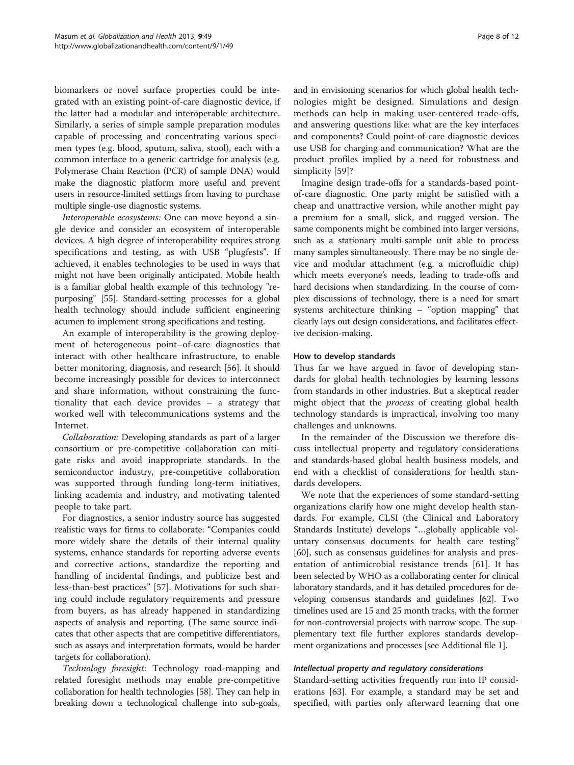biomarkers or novel surface properties could be integrated with an existing point-of-care diagnostic device, if the latter had a modular and interoperable architecture. Similarly, a series of simple sample preparation modules capable of processing and concentrating various specimen types (e.g. blood, sputum, saliva, stool), each with a common interface to a generic cartridge for analysis (e.g. Polymerase Chain Reaction (PCR) of sample DNA) would make the diagnostic platform more useful and prevent users in resource-limited settings from having to purchase multiple single-use diagnostic systems.

Interoperable ecosystems: One can move beyond a single device and consider an ecosystem of interoperable devices. A high degree of interoperability requires strong specifications and testing, as with USB "plugfests". If achieved, it enables technologies to be used in ways that might not have been originally anticipated. Mobile health is a familiar global health example of this technology "repurposing" [[55](#page-11-0)]. Standard-setting processes for a global health technology should include sufficient engineering acumen to implement strong specifications and testing.

An example of interoperability is the growing deployment of heterogeneous point–of-care diagnostics that interact with other healthcare infrastructure, to enable better monitoring, diagnosis, and research [[56\]](#page-11-0). It should become increasingly possible for devices to interconnect and share information, without constraining the functionality that each device provides – a strategy that worked well with telecommunications systems and the Internet.

Collaboration: Developing standards as part of a larger consortium or pre-competitive collaboration can mitigate risks and avoid inappropriate standards. In the semiconductor industry, pre-competitive collaboration was supported through funding long-term initiatives, linking academia and industry, and motivating talented people to take part.

For diagnostics, a senior industry source has suggested realistic ways for firms to collaborate: "Companies could more widely share the details of their internal quality systems, enhance standards for reporting adverse events and corrective actions, standardize the reporting and handling of incidental findings, and publicize best and less-than-best practices" [\[57](#page-11-0)]. Motivations for such sharing could include regulatory requirements and pressure from buyers, as has already happened in standardizing aspects of analysis and reporting. (The same source indicates that other aspects that are competitive differentiators, such as assays and interpretation formats, would be harder targets for collaboration).

Technology foresight: Technology road-mapping and related foresight methods may enable pre-competitive collaboration for health technologies [[58](#page-11-0)]. They can help in breaking down a technological challenge into sub-goals,

and in envisioning scenarios for which global health technologies might be designed. Simulations and design methods can help in making user-centered trade-offs, and answering questions like: what are the key interfaces and components? Could point-of-care diagnostic devices use USB for charging and communication? What are the product profiles implied by a need for robustness and simplicity [[59\]](#page-11-0)?

Imagine design trade-offs for a standards-based pointof-care diagnostic. One party might be satisfied with a cheap and unattractive version, while another might pay a premium for a small, slick, and rugged version. The same components might be combined into larger versions, such as a stationary multi-sample unit able to process many samples simultaneously. There may be no single device and modular attachment (e.g. a microfluidic chip) which meets everyone's needs, leading to trade-offs and hard decisions when standardizing. In the course of complex discussions of technology, there is a need for smart systems architecture thinking – "option mapping" that clearly lays out design considerations, and facilitates effective decision-making.

#### How to develop standards

Thus far we have argued in favor of developing standards for global health technologies by learning lessons from standards in other industries. But a skeptical reader might object that the *process* of creating global health technology standards is impractical, involving too many challenges and unknowns.

In the remainder of the Discussion we therefore discuss intellectual property and regulatory considerations and standards-based global health business models, and end with a checklist of considerations for health standards developers.

We note that the experiences of some standard-setting organizations clarify how one might develop health standards. For example, CLSI (the Clinical and Laboratory Standards Institute) develops "…globally applicable voluntary consensus documents for health care testing" [[60\]](#page-11-0), such as consensus guidelines for analysis and presentation of antimicrobial resistance trends [[61](#page-11-0)]. It has been selected by WHO as a collaborating center for clinical laboratory standards, and it has detailed procedures for developing consensus standards and guidelines [\[62\]](#page-11-0). Two timelines used are 15 and 25 month tracks, with the former for non-controversial projects with narrow scope. The supplementary text file further explores standards development organizations and processes [see Additional file [1\]](#page-10-0).

#### Intellectual property and regulatory considerations

Standard-setting activities frequently run into IP considerations [[63\]](#page-11-0). For example, a standard may be set and specified, with parties only afterward learning that one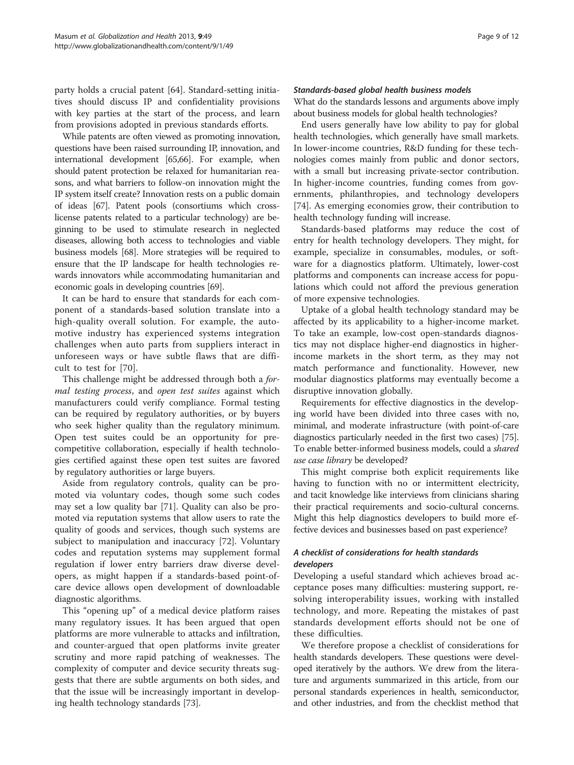party holds a crucial patent [\[64\]](#page-11-0). Standard-setting initiatives should discuss IP and confidentiality provisions with key parties at the start of the process, and learn from provisions adopted in previous standards efforts.

While patents are often viewed as promoting innovation, questions have been raised surrounding IP, innovation, and international development [\[65,66](#page-11-0)]. For example, when should patent protection be relaxed for humanitarian reasons, and what barriers to follow-on innovation might the IP system itself create? Innovation rests on a public domain of ideas [[67](#page-11-0)]. Patent pools (consortiums which crosslicense patents related to a particular technology) are beginning to be used to stimulate research in neglected diseases, allowing both access to technologies and viable business models [\[68\]](#page-11-0). More strategies will be required to ensure that the IP landscape for health technologies rewards innovators while accommodating humanitarian and economic goals in developing countries [\[69\]](#page-11-0).

It can be hard to ensure that standards for each component of a standards-based solution translate into a high-quality overall solution. For example, the automotive industry has experienced systems integration challenges when auto parts from suppliers interact in unforeseen ways or have subtle flaws that are difficult to test for [[70\]](#page-11-0).

This challenge might be addressed through both a formal testing process, and open test suites against which manufacturers could verify compliance. Formal testing can be required by regulatory authorities, or by buyers who seek higher quality than the regulatory minimum. Open test suites could be an opportunity for precompetitive collaboration, especially if health technologies certified against these open test suites are favored by regulatory authorities or large buyers.

Aside from regulatory controls, quality can be promoted via voluntary codes, though some such codes may set a low quality bar [[71\]](#page-11-0). Quality can also be promoted via reputation systems that allow users to rate the quality of goods and services, though such systems are subject to manipulation and inaccuracy [\[72](#page-11-0)]. Voluntary codes and reputation systems may supplement formal regulation if lower entry barriers draw diverse developers, as might happen if a standards-based point-ofcare device allows open development of downloadable diagnostic algorithms.

This "opening up" of a medical device platform raises many regulatory issues. It has been argued that open platforms are more vulnerable to attacks and infiltration, and counter-argued that open platforms invite greater scrutiny and more rapid patching of weaknesses. The complexity of computer and device security threats suggests that there are subtle arguments on both sides, and that the issue will be increasingly important in developing health technology standards [\[73](#page-11-0)].

#### Standards-based global health business models

What do the standards lessons and arguments above imply about business models for global health technologies?

End users generally have low ability to pay for global health technologies, which generally have small markets. In lower-income countries, R&D funding for these technologies comes mainly from public and donor sectors, with a small but increasing private-sector contribution. In higher-income countries, funding comes from governments, philanthropies, and technology developers [[74\]](#page-11-0). As emerging economies grow, their contribution to health technology funding will increase.

Standards-based platforms may reduce the cost of entry for health technology developers. They might, for example, specialize in consumables, modules, or software for a diagnostics platform. Ultimately, lower-cost platforms and components can increase access for populations which could not afford the previous generation of more expensive technologies.

Uptake of a global health technology standard may be affected by its applicability to a higher-income market. To take an example, low-cost open-standards diagnostics may not displace higher-end diagnostics in higherincome markets in the short term, as they may not match performance and functionality. However, new modular diagnostics platforms may eventually become a disruptive innovation globally.

Requirements for effective diagnostics in the developing world have been divided into three cases with no, minimal, and moderate infrastructure (with point-of-care diagnostics particularly needed in the first two cases) [[75](#page-11-0)]. To enable better-informed business models, could a shared use case library be developed?

This might comprise both explicit requirements like having to function with no or intermittent electricity, and tacit knowledge like interviews from clinicians sharing their practical requirements and socio-cultural concerns. Might this help diagnostics developers to build more effective devices and businesses based on past experience?

## A checklist of considerations for health standards developers

Developing a useful standard which achieves broad acceptance poses many difficulties: mustering support, resolving interoperability issues, working with installed technology, and more. Repeating the mistakes of past standards development efforts should not be one of these difficulties.

We therefore propose a checklist of considerations for health standards developers. These questions were developed iteratively by the authors. We drew from the literature and arguments summarized in this article, from our personal standards experiences in health, semiconductor, and other industries, and from the checklist method that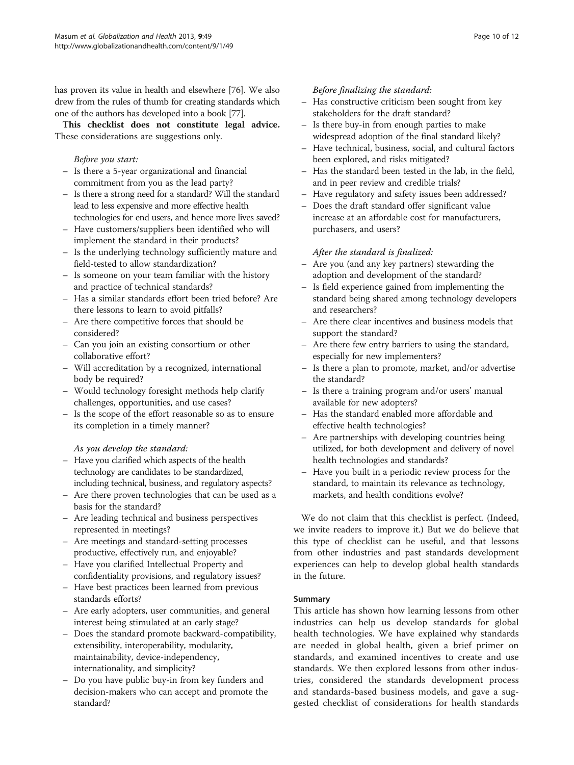has proven its value in health and elsewhere [\[76\]](#page-11-0). We also drew from the rules of thumb for creating standards which one of the authors has developed into a book [\[77\]](#page-11-0).

This checklist does not constitute legal advice. These considerations are suggestions only.

# Before you start:

- Is there a 5-year organizational and financial commitment from you as the lead party?
- Is there a strong need for a standard? Will the standard lead to less expensive and more effective health technologies for end users, and hence more lives saved?
- Have customers/suppliers been identified who will implement the standard in their products?
- Is the underlying technology sufficiently mature and field-tested to allow standardization?
- Is someone on your team familiar with the history and practice of technical standards?
- Has a similar standards effort been tried before? Are there lessons to learn to avoid pitfalls?
- Are there competitive forces that should be considered?
- Can you join an existing consortium or other collaborative effort?
- Will accreditation by a recognized, international body be required?
- Would technology foresight methods help clarify challenges, opportunities, and use cases?
- Is the scope of the effort reasonable so as to ensure its completion in a timely manner?

# As you develop the standard:

- Have you clarified which aspects of the health technology are candidates to be standardized, including technical, business, and regulatory aspects?
- Are there proven technologies that can be used as a basis for the standard?
- Are leading technical and business perspectives represented in meetings?
- Are meetings and standard-setting processes productive, effectively run, and enjoyable?
- Have you clarified Intellectual Property and confidentiality provisions, and regulatory issues?
- Have best practices been learned from previous standards efforts?
- Are early adopters, user communities, and general interest being stimulated at an early stage?
- Does the standard promote backward-compatibility, extensibility, interoperability, modularity, maintainability, device-independency, internationality, and simplicity?
- Do you have public buy-in from key funders and decision-makers who can accept and promote the standard?

# Before finalizing the standard:

- Has constructive criticism been sought from key stakeholders for the draft standard?
- Is there buy-in from enough parties to make widespread adoption of the final standard likely?
- Have technical, business, social, and cultural factors been explored, and risks mitigated?
- Has the standard been tested in the lab, in the field, and in peer review and credible trials?
- Have regulatory and safety issues been addressed?
- Does the draft standard offer significant value increase at an affordable cost for manufacturers, purchasers, and users?

# After the standard is finalized:

- Are you (and any key partners) stewarding the adoption and development of the standard?
- Is field experience gained from implementing the standard being shared among technology developers and researchers?
- Are there clear incentives and business models that support the standard?
- Are there few entry barriers to using the standard, especially for new implementers?
- Is there a plan to promote, market, and/or advertise the standard?
- Is there a training program and/or users' manual available for new adopters?
- Has the standard enabled more affordable and effective health technologies?
- Are partnerships with developing countries being utilized, for both development and delivery of novel health technologies and standards?
- Have you built in a periodic review process for the standard, to maintain its relevance as technology, markets, and health conditions evolve?

We do not claim that this checklist is perfect. (Indeed, we invite readers to improve it.) But we do believe that this type of checklist can be useful, and that lessons from other industries and past standards development experiences can help to develop global health standards in the future.

# Summary

This article has shown how learning lessons from other industries can help us develop standards for global health technologies. We have explained why standards are needed in global health, given a brief primer on standards, and examined incentives to create and use standards. We then explored lessons from other industries, considered the standards development process and standards-based business models, and gave a suggested checklist of considerations for health standards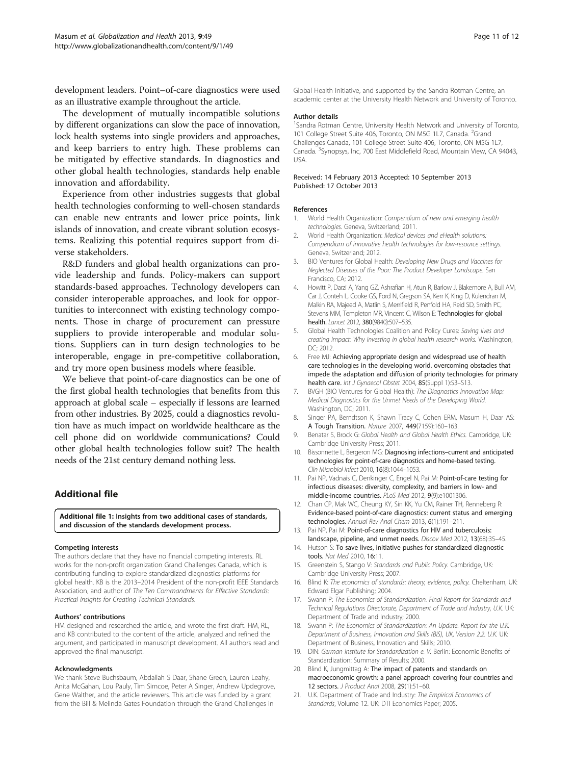<span id="page-10-0"></span>development leaders. Point–of-care diagnostics were used as an illustrative example throughout the article.

The development of mutually incompatible solutions by different organizations can slow the pace of innovation, lock health systems into single providers and approaches, and keep barriers to entry high. These problems can be mitigated by effective standards. In diagnostics and other global health technologies, standards help enable innovation and affordability.

Experience from other industries suggests that global health technologies conforming to well-chosen standards can enable new entrants and lower price points, link islands of innovation, and create vibrant solution ecosystems. Realizing this potential requires support from diverse stakeholders.

R&D funders and global health organizations can provide leadership and funds. Policy-makers can support standards-based approaches. Technology developers can consider interoperable approaches, and look for opportunities to interconnect with existing technology components. Those in charge of procurement can pressure suppliers to provide interoperable and modular solutions. Suppliers can in turn design technologies to be interoperable, engage in pre-competitive collaboration, and try more open business models where feasible.

We believe that point-of-care diagnostics can be one of the first global health technologies that benefits from this approach at global scale – especially if lessons are learned from other industries. By 2025, could a diagnostics revolution have as much impact on worldwide healthcare as the cell phone did on worldwide communications? Could other global health technologies follow suit? The health needs of the 21st century demand nothing less.

### Additional file

[Additional file 1:](http://www.biomedcentral.com/content/supplementary/1744-8603-9-49-S1.pdf) Insights from two additional cases of standards, and discussion of the standards development process.

#### Competing interests

The authors declare that they have no financial competing interests. RL works for the non-profit organization Grand Challenges Canada, which is contributing funding to explore standardized diagnostics platforms for global health. KB is the 2013–2014 President of the non-profit IEEE Standards Association, and author of The Ten Commandments for Effective Standards: Practical Insights for Creating Technical Standards.

#### Authors' contributions

HM designed and researched the article, and wrote the first draft. HM, RL, and KB contributed to the content of the article, analyzed and refined the argument, and participated in manuscript development. All authors read and approved the final manuscript.

#### Acknowledgments

We thank Steve Buchsbaum, Abdallah S Daar, Shane Green, Lauren Leahy, Anita McGahan, Lou Pauly, Tim Simcoe, Peter A Singer, Andrew Updegrove, Gene Walther, and the article reviewers. This article was funded by a grant from the Bill & Melinda Gates Foundation through the Grand Challenges in Global Health Initiative, and supported by the Sandra Rotman Centre, an academic center at the University Health Network and University of Toronto.

#### Author details

<sup>1</sup>Sandra Rotman Centre, University Health Network and University of Toronto, 101 College Street Suite 406, Toronto, ON M5G 1L7, Canada. <sup>2</sup>Grand Challenges Canada, 101 College Street Suite 406, Toronto, ON M5G 1L7, Canada. <sup>3</sup>Synopsys, Inc, 700 East Middlefield Road, Mountain View, CA 94043 USA.

#### Received: 14 February 2013 Accepted: 10 September 2013 Published: 17 October 2013

#### References

- 1. World Health Organization: Compendium of new and emerging health technologies. Geneva, Switzerland; 2011.
- 2. World Health Organization: Medical devices and eHealth solutions: Compendium of innovative health technologies for low-resource settings. Geneva, Switzerland; 2012.
- 3. BIO Ventures for Global Health: Developing New Drugs and Vaccines for Neglected Diseases of the Poor: The Product Developer Landscape. San Francisco, CA; 2012.
- 4. Howitt P, Darzi A, Yang GZ, Ashrafian H, Atun R, Barlow J, Blakemore A, Bull AM, Car J, Conteh L, Cooke GS, Ford N, Gregson SA, Kerr K, King D, Kulendran M, Malkin RA, Majeed A, Matlin S, Merrifield R, Penfold HA, Reid SD, Smith PC, Stevens MM, Templeton MR, Vincent C, Wilson E: Technologies for global health. Lancet 2012, 380(9840):507-535.
- 5. Global Health Technologies Coalition and Policy Cures: Saving lives and creating impact: Why investing in global health research works. Washington, DC; 2012.
- 6. Free MJ: Achieving appropriate design and widespread use of health care technologies in the developing world. overcoming obstacles that impede the adaptation and diffusion of priority technologies for primary health care. Int J Gynaecol Obstet 2004, 85(Suppl 1):S3-S13.
- 7. BVGH (BIO Ventures for Global Health): The Diagnostics Innovation Map: Medical Diagnostics for the Unmet Needs of the Developing World. Washington, DC; 2011.
- 8. Singer PA, Berndtson K, Shawn Tracy C, Cohen ERM, Masum H, Daar AS: A Tough Transition. Nature 2007, 449(7159):160–163.
- 9. Benatar S, Brock G: Global Health and Global Health Ethics. Cambridge, UK: Cambridge University Press; 2011.
- 10. Bissonnette L, Bergeron MG: Diagnosing infections–current and anticipated technologies for point-of-care diagnostics and home-based testing. Clin Microbiol Infect 2010, 16(8):1044–1053.
- 11. Pai NP, Vadnais C, Denkinger C, Engel N, Pai M: Point-of-care testing for infectious diseases: diversity, complexity, and barriers in low- and middle-income countries. PLoS Med 2012, 9(9):e1001306.
- 12. Chan CP, Mak WC, Cheung KY, Sin KK, Yu CM, Rainer TH, Renneberg R: Evidence-based point-of-care diagnostics: current status and emerging technologies. Annual Rev Anal Chem 2013, 6(1):191–211.
- 13. Pai NP, Pai M: Point-of-care diagnostics for HIV and tuberculosis: landscape, pipeline, and unmet needs. Discov Med 2012, 13(68):35–45.
- 14. Hutson S: To save lives, initiative pushes for standardized diagnostic tools. Nat Med 2010, 16:11.
- 15. Greenstein S, Stango V: Standards and Public Policy. Cambridge, UK: Cambridge University Press; 2007.
- 16. Blind K: The economics of standards: theory, evidence, policy. Cheltenham, UK: Edward Elgar Publishing; 2004.
- 17. Swann P: The Economics of Standardization. Final Report for Standards and Technical Regulations Directorate, Department of Trade and Industry, U.K. UK: Department of Trade and Industry; 2000.
- 18. Swann P: The Economics of Standardization: An Update. Report for the U.K. Department of Business, Innovation and Skills (BIS), UK, Version 2.2. U.K. UK: Department of Business, Innovation and Skills; 2010.
- 19. DIN: German Institute for Standardization e. V. Berlin: Economic Benefits of Standardization: Summary of Results; 2000.
- 20. Blind K, Jungmittag A: The impact of patents and standards on macroeconomic growth: a panel approach covering four countries and 12 sectors. J Product Anal 2008, 29(1):51–60.
- 21. U.K. Department of Trade and Industry: The Empirical Economics of Standards, Volume 12. UK: DTI Economics Paper; 2005.